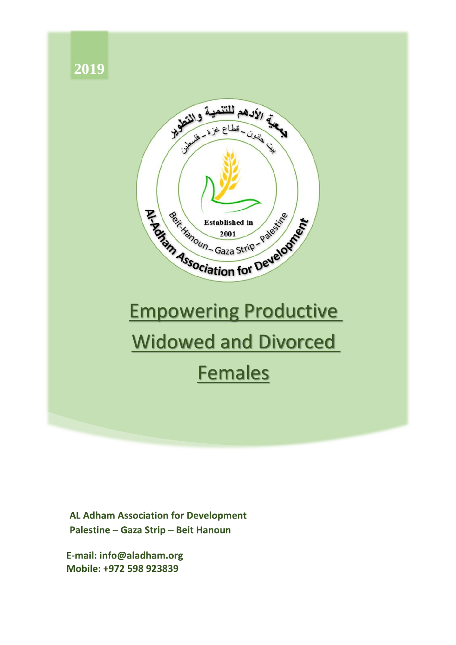

**AL Adham Association for Development** Palestine - Gaza Strip - Beit Hanoun

E-mail: info@aladham.org Mobile: +972 598 923839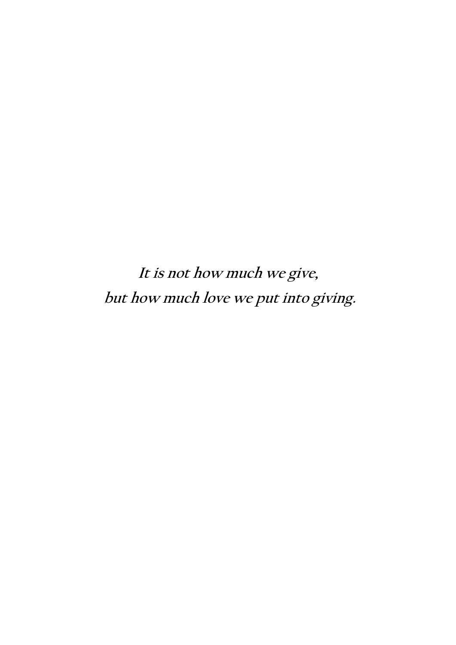**It is not how much we give, but how much love we put into giving.**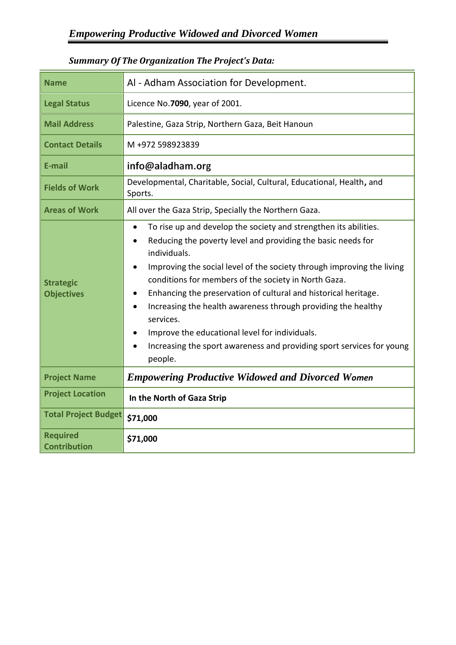| <b>Name</b>                            | Al - Adham Association for Development.                                                                                                                                                                                                                                                                                                                                                                                                                                                                                                                                                             |  |  |  |  |
|----------------------------------------|-----------------------------------------------------------------------------------------------------------------------------------------------------------------------------------------------------------------------------------------------------------------------------------------------------------------------------------------------------------------------------------------------------------------------------------------------------------------------------------------------------------------------------------------------------------------------------------------------------|--|--|--|--|
| <b>Legal Status</b>                    | Licence No.7090, year of 2001.                                                                                                                                                                                                                                                                                                                                                                                                                                                                                                                                                                      |  |  |  |  |
| <b>Mail Address</b>                    | Palestine, Gaza Strip, Northern Gaza, Beit Hanoun                                                                                                                                                                                                                                                                                                                                                                                                                                                                                                                                                   |  |  |  |  |
| <b>Contact Details</b>                 | M+972 598923839                                                                                                                                                                                                                                                                                                                                                                                                                                                                                                                                                                                     |  |  |  |  |
| E-mail                                 | info@aladham.org                                                                                                                                                                                                                                                                                                                                                                                                                                                                                                                                                                                    |  |  |  |  |
| <b>Fields of Work</b>                  | Developmental, Charitable, Social, Cultural, Educational, Health, and<br>Sports.                                                                                                                                                                                                                                                                                                                                                                                                                                                                                                                    |  |  |  |  |
| <b>Areas of Work</b>                   | All over the Gaza Strip, Specially the Northern Gaza.                                                                                                                                                                                                                                                                                                                                                                                                                                                                                                                                               |  |  |  |  |
| <b>Strategic</b><br><b>Objectives</b>  | To rise up and develop the society and strengthen its abilities.<br>$\bullet$<br>Reducing the poverty level and providing the basic needs for<br>individuals.<br>Improving the social level of the society through improving the living<br>conditions for members of the society in North Gaza.<br>Enhancing the preservation of cultural and historical heritage.<br>Increasing the health awareness through providing the healthy<br>$\bullet$<br>services.<br>Improve the educational level for individuals.<br>Increasing the sport awareness and providing sport services for young<br>people. |  |  |  |  |
| <b>Project Name</b>                    | <b>Empowering Productive Widowed and Divorced Women</b>                                                                                                                                                                                                                                                                                                                                                                                                                                                                                                                                             |  |  |  |  |
| <b>Project Location</b>                | In the North of Gaza Strip                                                                                                                                                                                                                                                                                                                                                                                                                                                                                                                                                                          |  |  |  |  |
| <b>Total Project Budget</b>            | \$71,000                                                                                                                                                                                                                                                                                                                                                                                                                                                                                                                                                                                            |  |  |  |  |
| <b>Required</b><br><b>Contribution</b> | \$71,000                                                                                                                                                                                                                                                                                                                                                                                                                                                                                                                                                                                            |  |  |  |  |

## *Summary Of The Organization The Project's Data:*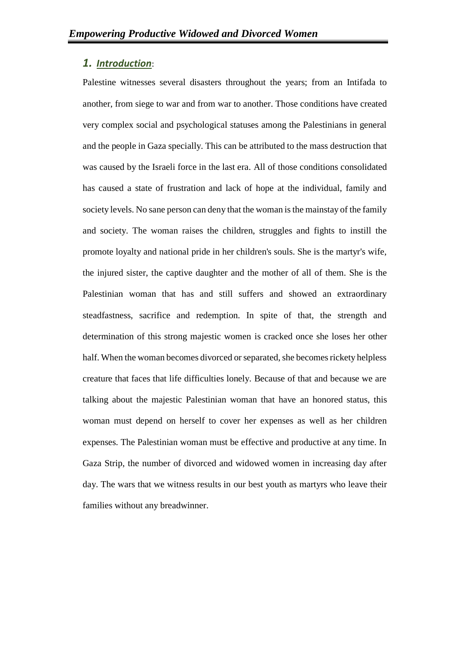### *1. Introduction*:

Palestine witnesses several disasters throughout the years; from an Intifada to another, from siege to war and from war to another. Those conditions have created very complex social and psychological statuses among the Palestinians in general and the people in Gaza specially. This can be attributed to the mass destruction that was caused by the Israeli force in the last era. All of those conditions consolidated has caused a state of frustration and lack of hope at the individual, family and society levels. No sane person can deny that the woman is the mainstay of the family and society. The woman raises the children, struggles and fights to instill the promote loyalty and national pride in her children's souls. She is the martyr's wife, the injured sister, the captive daughter and the mother of all of them. She is the Palestinian woman that has and still suffers and showed an extraordinary steadfastness, sacrifice and redemption. In spite of that, the strength and determination of this strong majestic women is cracked once she loses her other half. When the woman becomes divorced or separated, she becomes rickety helpless creature that faces that life difficulties lonely. Because of that and because we are talking about the majestic Palestinian woman that have an honored status, this woman must depend on herself to cover her expenses as well as her children expenses. The Palestinian woman must be effective and productive at any time. In Gaza Strip, the number of divorced and widowed women in increasing day after day. The wars that we witness results in our best youth as martyrs who leave their families without any breadwinner.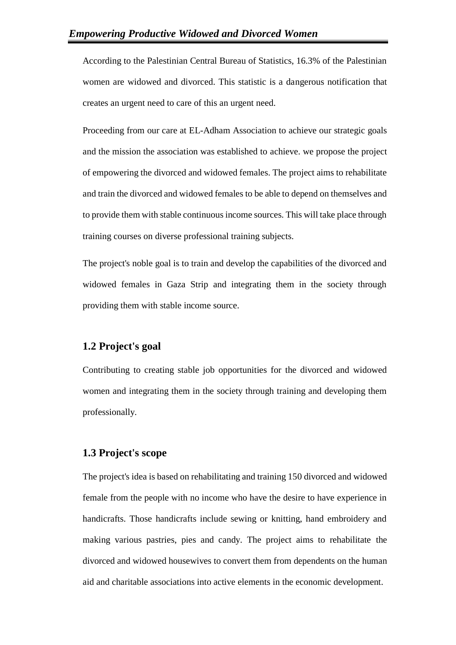According to the Palestinian Central Bureau of Statistics, 16.3% of the Palestinian women are widowed and divorced. This statistic is a dangerous notification that creates an urgent need to care of this an urgent need.

Proceeding from our care at EL-Adham Association to achieve our strategic goals and the mission the association was established to achieve. we propose the project of empowering the divorced and widowed females. The project aims to rehabilitate and train the divorced and widowed females to be able to depend on themselves and to provide them with stable continuous income sources. This will take place through training courses on diverse professional training subjects.

The project's noble goal is to train and develop the capabilities of the divorced and widowed females in Gaza Strip and integrating them in the society through providing them with stable income source.

#### **1.2 Project's goal**

Contributing to creating stable job opportunities for the divorced and widowed women and integrating them in the society through training and developing them professionally.

#### **1.3 Project's scope**

The project's idea is based on rehabilitating and training 150 divorced and widowed female from the people with no income who have the desire to have experience in handicrafts. Those handicrafts include sewing or knitting, hand embroidery and making various pastries, pies and candy. The project aims to rehabilitate the divorced and widowed housewives to convert them from dependents on the human aid and charitable associations into active elements in the economic development.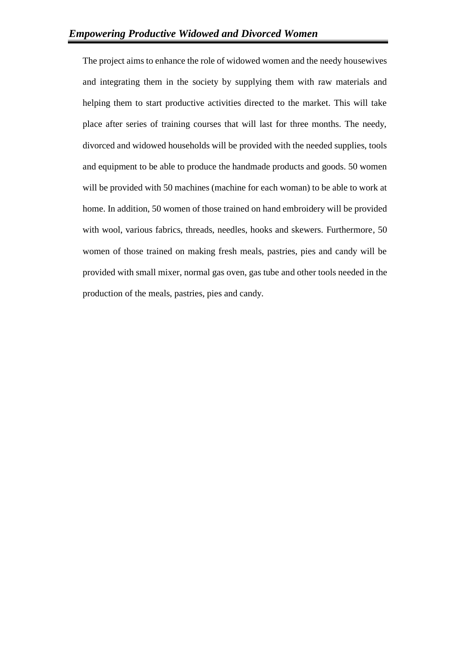The project aims to enhance the role of widowed women and the needy housewives and integrating them in the society by supplying them with raw materials and helping them to start productive activities directed to the market. This will take place after series of training courses that will last for three months. The needy, divorced and widowed households will be provided with the needed supplies, tools and equipment to be able to produce the handmade products and goods. 50 women will be provided with 50 machines (machine for each woman) to be able to work at home. In addition, 50 women of those trained on hand embroidery will be provided with wool, various fabrics, threads, needles, hooks and skewers. Furthermore, 50 women of those trained on making fresh meals, pastries, pies and candy will be provided with small mixer, normal gas oven, gas tube and other tools needed in the production of the meals, pastries, pies and candy.